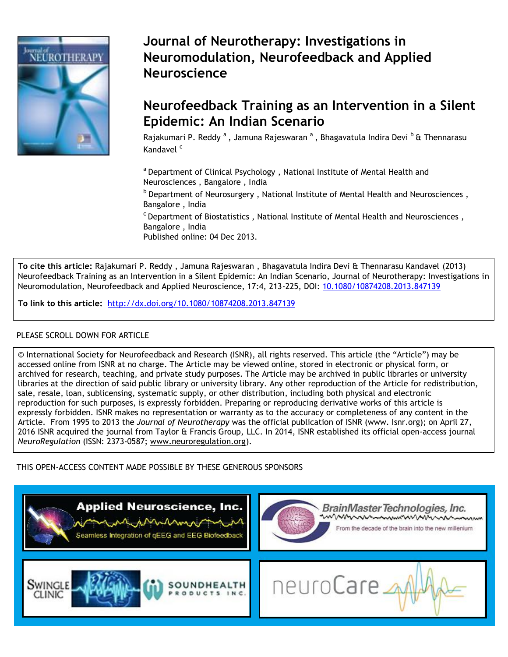

# **Journal of Neurotherapy: Investigations in Neuromodulation, Neurofeedback and Applied Neuroscience**

# **[Neurofeedback Training a](http://www.tandfonline.com/loi/wneu20)s an Intervention in a Silent Epidemic: An Indian Scenario**

Rajakumari P. Reddy <sup>a</sup> , Jamuna Rajeswaran <sup>a</sup> , Bhagavatula Indira Devi <sup>b</sup> & Thennarasu Kandavel<sup>c</sup>

a Department of Clinical Psychology, National Institute of Mental Health and Neurosciences , Bangalore , India

 $b$  Department of Neurosurgery, National Institute of Mental Health and Neurosciences, Bangalore , India

 $\epsilon$  Department of Biostatistics, National Institute of Mental Health and Neurosciences, Bangalore , India

Published online: 04 Dec 2013.

**To cite this article:** Rajakumari P. Reddy , Jamuna Rajeswaran , Bhagavatula Indira Devi & Thennarasu Kandavel (2013) Neurofeedback Training as an Intervention in a Silent Epidemic: An Indian Scenario, Journal of Neurotherapy: Investigations in Neuromodulation, Neurofeedback and Applied Neuroscience, 17:4, 213-225, DOI: 10.1080/10874208.2013.847139

**To link to this article:** <http://dx.doi.org/10.1080/10874208.2013.847139>

# PLEASE SCROLL DOWN FOR ARTICLE

© International Society for Neurofeedback and Research (ISNR), all rights reserved. This article (the "Article") may be accessed online from ISNR at no charge. The Article may be viewed online, stored in electronic or physical form, or archived for research, teaching, and private study purposes. The Article may be archived in public libraries or university libraries at the direction of said public library or university library. Any other reproduction of the Article for redistribution, sale, resale, loan, sublicensing, systematic supply, or other distribution, including both physical and electronic reproduction for such purposes, is expressly forbidden. Preparing or reproducing derivative works of this article is expressly forbidden. ISNR makes no representation or warranty as to the accuracy or completeness of any content in the Article. From 1995 to 2013 the *Journal of Neurotherapy* was the official publication of ISNR (www. Isnr.org); on April 27, 2016 ISNR acquired the journal from Taylor & Francis Group, LLC. In 2014, ISNR established its official open-access journal *NeuroRegulation* (ISSN: 2373-0587; [www.neuroregulation.org\)](http://www.neuroregulation.org/).

THIS OPEN-ACCESS CONTENT MADE POSSIBLE BY THESE GENEROUS SPONSORS

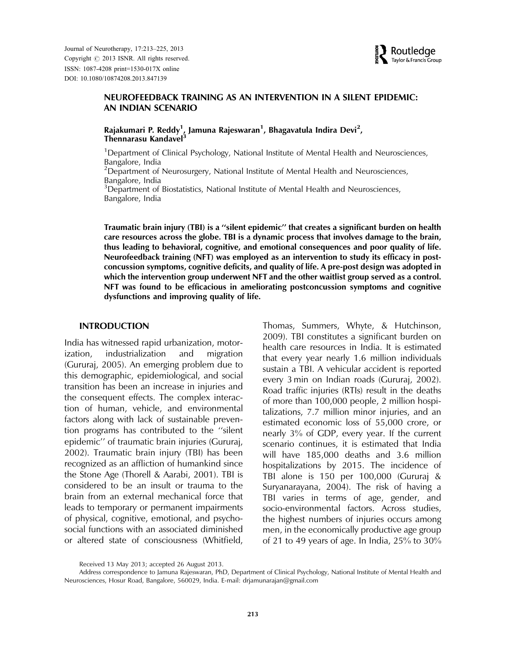



# NEUROFEEDBACK TRAINING AS AN INTERVENTION IN A SILENT EPIDEMIC: AN INDIAN SCENARIO

## Rajakumari P. Reddy<sup>1</sup>, Jamuna Rajeswaran<sup>1</sup>, Bhagavatula Indira Devi<sup>2</sup>, Thennarasu Kandavel<sup>3</sup>

<sup>1</sup>Department of Clinical Psychology, National Institute of Mental Health and Neurosciences, Bangalore, India <sup>2</sup>Department of Neurosurgery, National Institute of Mental Health and Neurosciences, Bangalore, India <sup>3</sup>Department of Biostatistics, National Institute of Mental Health and Neurosciences, Bangalore, India

Traumatic brain injury (TBI) is a ''silent epidemic'' that creates a significant burden on health care resources across the globe. TBI is a dynamic process that involves damage to the brain, thus leading to behavioral, cognitive, and emotional consequences and poor quality of life. Neurofeedback training (NFT) was employed as an intervention to study its efficacy in postconcussion symptoms, cognitive deficits, and quality of life. A pre-post design was adopted in which the intervention group underwent NFT and the other waitlist group served as a control. NFT was found to be efficacious in ameliorating postconcussion symptoms and cognitive dysfunctions and improving quality of life.

## INTRODUCTION

India has witnessed rapid urbanization, motorization, industrialization and migration (Gururaj, 2005). An emerging problem due to this demographic, epidemiological, and social transition has been an increase in injuries and the consequent effects. The complex interaction of human, vehicle, and environmental factors along with lack of sustainable prevention programs has contributed to the ''silent epidemic'' of traumatic brain injuries (Gururaj, 2002). Traumatic brain injury (TBI) has been recognized as an affliction of humankind since the Stone Age (Thorell & Aarabi, 2001). TBI is considered to be an insult or trauma to the brain from an external mechanical force that leads to temporary or permanent impairments of physical, cognitive, emotional, and psychosocial functions with an associated diminished or altered state of consciousness (Whitfield,

Thomas, Summers, Whyte, & Hutchinson, 2009). TBI constitutes a significant burden on health care resources in India. It is estimated that every year nearly 1.6 million individuals sustain a TBI. A vehicular accident is reported every 3 min on Indian roads (Gururaj, 2002). Road traffic injuries (RTIs) result in the deaths of more than 100,000 people, 2 million hospitalizations, 7.7 million minor injuries, and an estimated economic loss of 55,000 crore, or nearly 3% of GDP, every year. If the current scenario continues, it is estimated that India will have 185,000 deaths and 3.6 million hospitalizations by 2015. The incidence of TBI alone is 150 per 100,000 (Gururaj & Suryanarayana, 2004). The risk of having a TBI varies in terms of age, gender, and socio-environmental factors. Across studies, the highest numbers of injuries occurs among men, in the economically productive age group of 21 to 49 years of age. In India, 25% to 30%

Received 13 May 2013; accepted 26 August 2013.

Address correspondence to Jamuna Rajeswaran, PhD, Department of Clinical Psychology, National Institute of Mental Health and Neurosciences, Hosur Road, Bangalore, 560029, India. E-mail: drjamunarajan@gmail.com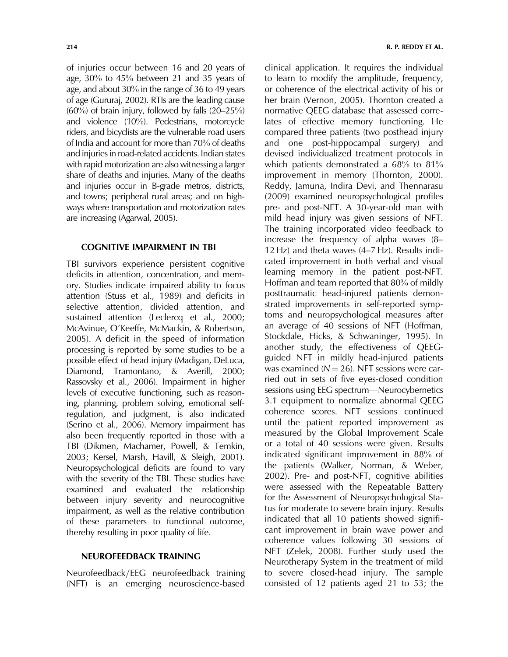of injuries occur between 16 and 20 years of age, 30% to 45% between 21 and 35 years of age, and about 30% in the range of 36 to 49 years of age (Gururaj, 2002). RTIs are the leading cause  $(60\%)$  of brain injury, followed by falls  $(20-25\%)$ and violence (10%). Pedestrians, motorcycle riders, and bicyclists are the vulnerable road users of India and account for more than 70% of deaths and injuries in road-related accidents. Indian states with rapid motorization are also witnessing a larger share of deaths and injuries. Many of the deaths and injuries occur in B-grade metros, districts, and towns; peripheral rural areas; and on highways where transportation and motorization rates are increasing (Agarwal, 2005).

### COGNITIVE IMPAIRMENT IN TBI

TBI survivors experience persistent cognitive deficits in attention, concentration, and memory. Studies indicate impaired ability to focus attention (Stuss et al., 1989) and deficits in selective attention, divided attention, and sustained attention (Leclercq et al., 2000; McAvinue, O'Keeffe, McMackin, & Robertson, 2005). A deficit in the speed of information processing is reported by some studies to be a possible effect of head injury (Madigan, DeLuca, Diamond, Tramontano, & Averill, 2000; Rassovsky et al., 2006). Impairment in higher levels of executive functioning, such as reasoning, planning, problem solving, emotional selfregulation, and judgment, is also indicated (Serino et al., 2006). Memory impairment has also been frequently reported in those with a TBI (Dikmen, Machamer, Powell, & Temkin, 2003; Kersel, Marsh, Havill, & Sleigh, 2001). Neuropsychological deficits are found to vary with the severity of the TBI. These studies have examined and evaluated the relationship between injury severity and neurocognitive impairment, as well as the relative contribution of these parameters to functional outcome, thereby resulting in poor quality of life.

## NEUROFEEDBACK TRAINING

Neurofeedback/EEG neurofeedback training (NFT) is an emerging neuroscience-based clinical application. It requires the individual to learn to modify the amplitude, frequency, or coherence of the electrical activity of his or her brain (Vernon, 2005). Thornton created a normative QEEG database that assessed correlates of effective memory functioning. He compared three patients (two posthead injury and one post-hippocampal surgery) and devised individualized treatment protocols in which patients demonstrated a 68% to 81% improvement in memory (Thornton, 2000). Reddy, Jamuna, Indira Devi, and Thennarasu (2009) examined neuropsychological profiles pre- and post-NFT. A 30-year-old man with mild head injury was given sessions of NFT. The training incorporated video feedback to increase the frequency of alpha waves (8– 12 Hz) and theta waves (4–7 Hz). Results indicated improvement in both verbal and visual learning memory in the patient post-NFT. Hoffman and team reported that 80% of mildly posttraumatic head-injured patients demonstrated improvements in self-reported symptoms and neuropsychological measures after an average of 40 sessions of NFT (Hoffman, Stockdale, Hicks, & Schwaninger, 1995). In another study, the effectiveness of QEEGguided NFT in mildly head-injured patients was examined ( $N = 26$ ). NFT sessions were carried out in sets of five eyes-closed condition sessions using EEG spectrum—Neurocybernetics 3.1 equipment to normalize abnormal QEEG coherence scores. NFT sessions continued until the patient reported improvement as measured by the Global Improvement Scale or a total of 40 sessions were given. Results indicated significant improvement in 88% of the patients (Walker, Norman, & Weber, 2002). Pre- and post-NFT, cognitive abilities were assessed with the Repeatable Battery for the Assessment of Neuropsychological Status for moderate to severe brain injury. Results indicated that all 10 patients showed significant improvement in brain wave power and coherence values following 30 sessions of NFT (Zelek, 2008). Further study used the Neurotherapy System in the treatment of mild to severe closed-head injury. The sample consisted of 12 patients aged 21 to 53; the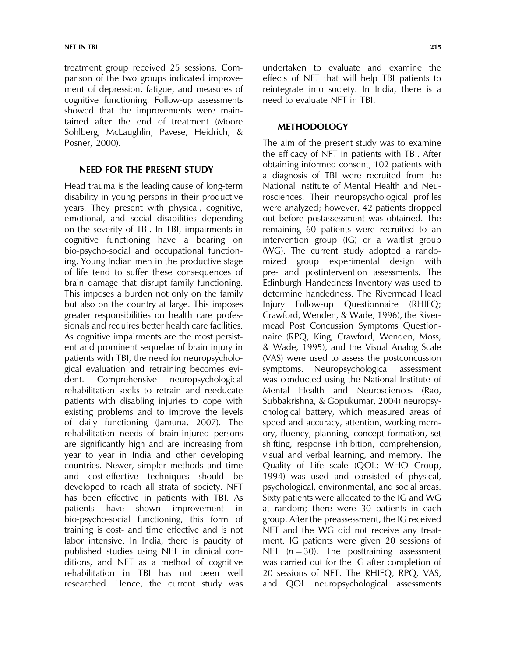treatment group received 25 sessions. Comparison of the two groups indicated improvement of depression, fatigue, and measures of cognitive functioning. Follow-up assessments showed that the improvements were maintained after the end of treatment (Moore Sohlberg, McLaughlin, Pavese, Heidrich, & Posner, 2000).

## NEED FOR THE PRESENT STUDY

Head trauma is the leading cause of long-term disability in young persons in their productive years. They present with physical, cognitive, emotional, and social disabilities depending on the severity of TBI. In TBI, impairments in cognitive functioning have a bearing on bio-psycho-social and occupational functioning. Young Indian men in the productive stage of life tend to suffer these consequences of brain damage that disrupt family functioning. This imposes a burden not only on the family but also on the country at large. This imposes greater responsibilities on health care professionals and requires better health care facilities. As cognitive impairments are the most persistent and prominent sequelae of brain injury in patients with TBI, the need for neuropsychological evaluation and retraining becomes evident. Comprehensive neuropsychological rehabilitation seeks to retrain and reeducate patients with disabling injuries to cope with existing problems and to improve the levels of daily functioning (Jamuna, 2007). The rehabilitation needs of brain-injured persons are significantly high and are increasing from year to year in India and other developing countries. Newer, simpler methods and time and cost-effective techniques should be developed to reach all strata of society. NFT has been effective in patients with TBI. As patients have shown improvement in bio-psycho-social functioning, this form of training is cost- and time effective and is not labor intensive. In India, there is paucity of published studies using NFT in clinical conditions, and NFT as a method of cognitive rehabilitation in TBI has not been well researched. Hence, the current study was undertaken to evaluate and examine the effects of NFT that will help TBI patients to reintegrate into society. In India, there is a need to evaluate NFT in TBI.

## METHODOLOGY

The aim of the present study was to examine the efficacy of NFT in patients with TBI. After obtaining informed consent, 102 patients with a diagnosis of TBI were recruited from the National Institute of Mental Health and Neurosciences. Their neuropsychological profiles were analyzed; however, 42 patients dropped out before postassessment was obtained. The remaining 60 patients were recruited to an intervention group (IG) or a waitlist group (WG). The current study adopted a randomized group experimental design with pre- and postintervention assessments. The Edinburgh Handedness Inventory was used to determine handedness. The Rivermead Head Injury Follow-up Questionnaire (RHIFQ; Crawford, Wenden, & Wade, 1996), the Rivermead Post Concussion Symptoms Questionnaire (RPQ; King, Crawford, Wenden, Moss, & Wade, 1995), and the Visual Analog Scale (VAS) were used to assess the postconcussion symptoms. Neuropsychological assessment was conducted using the National Institute of Mental Health and Neurosciences (Rao, Subbakrishna, & Gopukumar, 2004) neuropsychological battery, which measured areas of speed and accuracy, attention, working memory, fluency, planning, concept formation, set shifting, response inhibition, comprehension, visual and verbal learning, and memory. The Quality of Life scale (QOL; WHO Group, 1994) was used and consisted of physical, psychological, environmental, and social areas. Sixty patients were allocated to the IG and WG at random; there were 30 patients in each group. After the preassessment, the IG received NFT and the WG did not receive any treatment. IG patients were given 20 sessions of NFT  $(n = 30)$ . The posttraining assessment was carried out for the IG after completion of 20 sessions of NFT. The RHIFQ, RPQ, VAS, and QOL neuropsychological assessments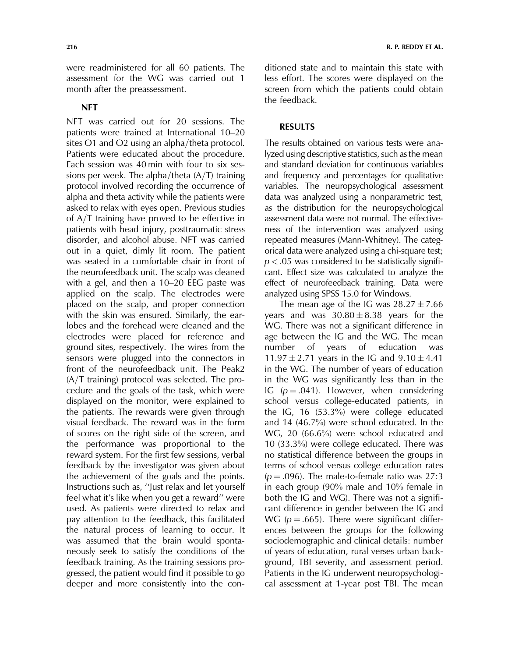were readministered for all 60 patients. The assessment for the WG was carried out 1 month after the preassessment.

### **NFT**

NFT was carried out for 20 sessions. The patients were trained at International 10–20 sites  $O1$  and  $O2$  using an alpha/theta protocol. Patients were educated about the procedure. Each session was 40 min with four to six sessions per week. The alpha/theta  $(A/T)$  training protocol involved recording the occurrence of alpha and theta activity while the patients were asked to relax with eyes open. Previous studies of  $A/T$  training have proved to be effective in patients with head injury, posttraumatic stress disorder, and alcohol abuse. NFT was carried out in a quiet, dimly lit room. The patient was seated in a comfortable chair in front of the neurofeedback unit. The scalp was cleaned with a gel, and then a 10–20 EEG paste was applied on the scalp. The electrodes were placed on the scalp, and proper connection with the skin was ensured. Similarly, the earlobes and the forehead were cleaned and the electrodes were placed for reference and ground sites, respectively. The wires from the sensors were plugged into the connectors in front of the neurofeedback unit. The Peak2  $(A/T$  training) protocol was selected. The procedure and the goals of the task, which were displayed on the monitor, were explained to the patients. The rewards were given through visual feedback. The reward was in the form of scores on the right side of the screen, and the performance was proportional to the reward system. For the first few sessions, verbal feedback by the investigator was given about the achievement of the goals and the points. Instructions such as, ''Just relax and let yourself feel what it's like when you get a reward'' were used. As patients were directed to relax and pay attention to the feedback, this facilitated the natural process of learning to occur. It was assumed that the brain would spontaneously seek to satisfy the conditions of the feedback training. As the training sessions progressed, the patient would find it possible to go deeper and more consistently into the conditioned state and to maintain this state with less effort. The scores were displayed on the screen from which the patients could obtain the feedback.

#### RESULTS

The results obtained on various tests were analyzed using descriptive statistics, such as the mean and standard deviation for continuous variables and frequency and percentages for qualitative variables. The neuropsychological assessment data was analyzed using a nonparametric test, as the distribution for the neuropsychological assessment data were not normal. The effectiveness of the intervention was analyzed using repeated measures (Mann-Whitney). The categorical data were analyzed using a chi-square test;  $p < .05$  was considered to be statistically significant. Effect size was calculated to analyze the effect of neurofeedback training. Data were analyzed using SPSS 15.0 for Windows.

The mean age of the IG was  $28.27 \pm 7.66$ years and was  $30.80 \pm 8.38$  years for the WG. There was not a significant difference in age between the IG and the WG. The mean number of years of education was  $11.97 \pm 2.71$  years in the IG and  $9.10 \pm 4.41$ in the WG. The number of years of education in the WG was significantly less than in the IG ( $p = .041$ ). However, when considering school versus college-educated patients, in the IG, 16 (53.3%) were college educated and 14 (46.7%) were school educated. In the WG, 20 (66.6%) were school educated and 10 (33.3%) were college educated. There was no statistical difference between the groups in terms of school versus college education rates  $(p = .096)$ . The male-to-female ratio was 27:3 in each group (90% male and 10% female in both the IG and WG). There was not a significant difference in gender between the IG and WG ( $p = .665$ ). There were significant differences between the groups for the following sociodemographic and clinical details: number of years of education, rural verses urban background, TBI severity, and assessment period. Patients in the IG underwent neuropsychological assessment at 1-year post TBI. The mean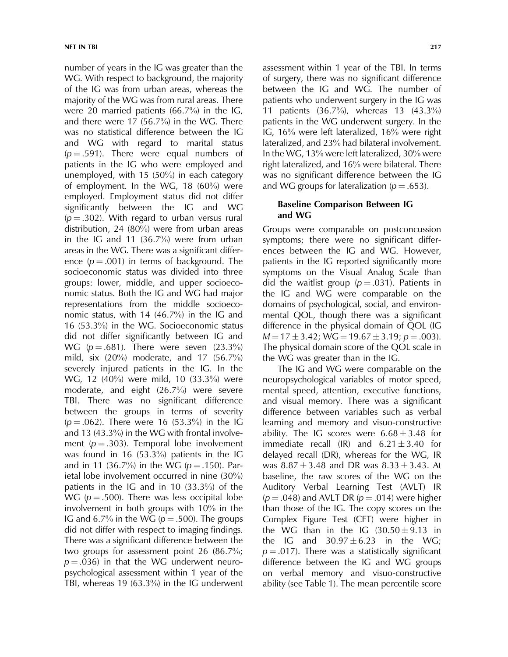number of years in the IG was greater than the WG. With respect to background, the majority of the IG was from urban areas, whereas the majority of the WG was from rural areas. There were 20 married patients (66.7%) in the IG, and there were 17 (56.7%) in the WG. There was no statistical difference between the IG and WG with regard to marital status  $(p = .591)$ . There were equal numbers of patients in the IG who were employed and unemployed, with 15 (50%) in each category of employment. In the WG, 18 (60%) were employed. Employment status did not differ significantly between the IG and WG  $(p=.302)$ . With regard to urban versus rural distribution, 24 (80%) were from urban areas in the IG and 11 (36.7%) were from urban areas in the WG. There was a significant difference ( $p = .001$ ) in terms of background. The socioeconomic status was divided into three groups: lower, middle, and upper socioeconomic status. Both the IG and WG had major representations from the middle socioeconomic status, with 14 (46.7%) in the IG and 16 (53.3%) in the WG. Socioeconomic status did not differ significantly between IG and WG ( $p = .681$ ). There were seven (23.3%) mild, six (20%) moderate, and 17 (56.7%) severely injured patients in the IG. In the WG, 12 (40%) were mild, 10 (33.3%) were moderate, and eight (26.7%) were severe TBI. There was no significant difference between the groups in terms of severity  $(p = .062)$ . There were 16 (53.3%) in the IG and 13 (43.3%) in the WG with frontal involvement ( $p = .303$ ). Temporal lobe involvement was found in 16 (53.3%) patients in the IG and in 11 (36.7%) in the WG ( $p = .150$ ). Parietal lobe involvement occurred in nine (30%) patients in the IG and in 10 (33.3%) of the WG ( $p = .500$ ). There was less occipital lobe involvement in both groups with 10% in the IG and 6.7% in the WG ( $p = .500$ ). The groups did not differ with respect to imaging findings. There was a significant difference between the two groups for assessment point 26 (86.7%;  $p = .036$ ) in that the WG underwent neuropsychological assessment within 1 year of the TBI, whereas 19 (63.3%) in the IG underwent assessment within 1 year of the TBI. In terms of surgery, there was no significant difference between the IG and WG. The number of patients who underwent surgery in the IG was 11 patients (36.7%), whereas 13 (43.3%) patients in the WG underwent surgery. In the IG, 16% were left lateralized, 16% were right lateralized, and 23% had bilateral involvement. In the WG, 13% were left lateralized, 30% were right lateralized, and 16% were bilateral. There was no significant difference between the IG and WG groups for lateralization ( $p = .653$ ).

# Baseline Comparison Between IG and WG

Groups were comparable on postconcussion symptoms; there were no significant differences between the IG and WG. However, patients in the IG reported significantly more symptoms on the Visual Analog Scale than did the waitlist group ( $p = .031$ ). Patients in the IG and WG were comparable on the domains of psychological, social, and environmental QOL, though there was a significant difference in the physical domain of QOL (IG  $M = 17 \pm 3.42$ ; WG = 19.67  $\pm$  3.19; p = .003). The physical domain score of the QOL scale in the WG was greater than in the IG.

The IG and WG were comparable on the neuropsychological variables of motor speed, mental speed, attention, executive functions, and visual memory. There was a significant difference between variables such as verbal learning and memory and visuo-constructive ability. The IG scores were  $6.68 \pm 3.48$  for immediate recall (IR) and  $6.21 \pm 3.40$  for delayed recall (DR), whereas for the WG, IR was  $8.87 \pm 3.48$  and DR was  $8.33 \pm 3.43$ . At baseline, the raw scores of the WG on the Auditory Verbal Learning Test (AVLT) IR  $(p = .048)$  and AVLT DR  $(p = .014)$  were higher than those of the IG. The copy scores on the Complex Figure Test (CFT) were higher in the WG than in the IG  $(30.50 \pm 9.13)$  in the IG and  $30.97 \pm 6.23$  in the WG;  $p = .017$ ). There was a statistically significant difference between the IG and WG groups on verbal memory and visuo-constructive ability (see Table 1). The mean percentile score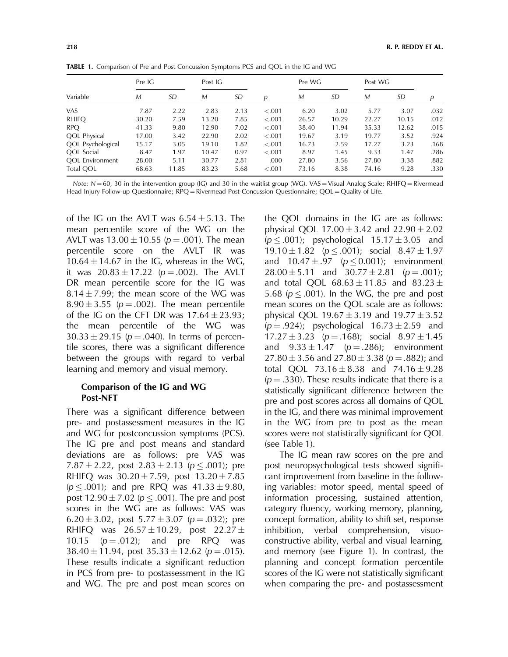| Variable               | Pre IG |       | Post IG |      |         | Pre WG |       | Post WG |       |      |
|------------------------|--------|-------|---------|------|---------|--------|-------|---------|-------|------|
|                        | M      | SD    | M       | SD   | p       | M      | SD    | M       | SD    | р    |
| <b>VAS</b>             | 7.87   | 2.22  | 2.83    | 2.13 | < 0.001 | 6.20   | 3.02  | 5.77    | 3.07  | .032 |
| <b>RHIFO</b>           | 30.20  | 7.59  | 13.20   | 7.85 | < 0.001 | 26.57  | 10.29 | 22.27   | 10.15 | .012 |
| <b>RPO</b>             | 41.33  | 9.80  | 12.90   | 7.02 | < 0.001 | 38.40  | 11.94 | 35.33   | 12.62 | .015 |
| <b>QOL Physical</b>    | 17.00  | 3.42  | 22.90   | 2.02 | < 0.001 | 19.67  | 3.19  | 19.77   | 3.52  | .924 |
| QOL Psychological      | 15.17  | 3.05  | 19.10   | 1.82 | < 0.001 | 16.73  | 2.59  | 17.27   | 3.23  | .168 |
| <b>OOL</b> Social      | 8.47   | 1.97  | 10.47   | 0.97 | < 0.001 | 8.97   | 1.45  | 9.33    | 1.47  | .286 |
| <b>OOL</b> Environment | 28.00  | 5.11  | 30.77   | 2.81 | .000    | 27.80  | 3.56  | 27.80   | 3.38  | .882 |
| Total QOL              | 68.63  | 11.85 | 83.23   | 5.68 | < 0.001 | 73.16  | 8.38  | 74.16   | 9.28  | .330 |

TABLE 1. Comparison of Pre and Post Concussion Symptoms PCS and QOL in the IG and WG

Note:  $N = 60$ , 30 in the intervention group (IG) and 30 in the waitlist group (WG). VAS = Visual Analog Scale; RHIFQ = Rivermead Head Injury Follow-up Questionnaire;  $RPQ =$  Rivermead Post-Concussion Questionnaire;  $QOL =$  Quality of Life.

of the IG on the AVLT was  $6.54 \pm 5.13$ . The mean percentile score of the WG on the AVLT was  $13.00 \pm 10.55$  ( $p = .001$ ). The mean percentile score on the AVLT IR was  $10.64 \pm 14.67$  in the IG, whereas in the WG, it was  $20.83 \pm 17.22$  ( $p = .002$ ). The AVLT DR mean percentile score for the IG was 8.14  $\pm$  7.99; the mean score of the WG was 8.90  $\pm$  3.55 ( $p = .002$ ). The mean percentile of the IG on the CFT DR was  $17.64 \pm 23.93$ ; the mean percentile of the WG was  $30.33 \pm 29.15$  ( $p = .040$ ). In terms of percentile scores, there was a significant difference between the groups with regard to verbal learning and memory and visual memory.

#### Comparison of the IG and WG Post-NFT

There was a significant difference between pre- and postassessment measures in the IG and WG for postconcussion symptoms (PCS). The IG pre and post means and standard deviations are as follows: pre VAS was 7.87  $\pm$  2.22, post 2.83  $\pm$  2.13 ( $p \leq .001$ ); pre RHIFQ was  $30.20 \pm 7.59$ , post  $13.20 \pm 7.85$  $(p \le .001)$ ; and pre RPQ was  $41.33 \pm 9.80$ , post 12.90  $\pm$  7.02 ( $p \leq$  .001). The pre and post scores in the WG are as follows: VAS was 6.20  $\pm$  3.02, post 5.77  $\pm$  3.07 (p = .032); pre RHIFQ was  $26.57 \pm 10.29$ , post  $22.27 \pm$ 10.15  $(p = .012)$ ; and pre RPQ was  $38.40 \pm 11.94$ , post  $35.33 \pm 12.62$  (p = .015). These results indicate a significant reduction in PCS from pre- to postassessment in the IG and WG. The pre and post mean scores on the QOL domains in the IG are as follows: physical QOL  $17.00 \pm 3.42$  and  $22.90 \pm 2.02$ ( $p \leq .001$ ); psychological 15.17  $\pm 3.05$  and 19.10  $\pm$  1.82 ( $p \leq .001$ ); social 8.47  $\pm$  1.97 and 10.47 $\pm$ .97 ( $p \leq$ 0.001); environment  $28.00 \pm 5.11$  and  $30.77 \pm 2.81$  (p = .001); and total QOL  $68.63 \pm 11.85$  and  $83.23 \pm 1.85$ 5.68 ( $p \leq .001$ ). In the WG, the pre and post mean scores on the QOL scale are as follows: physical QOL  $19.67 \pm 3.19$  and  $19.77 \pm 3.52$  $(p = .924)$ ; psychological  $16.73 \pm 2.59$  and  $17.27 \pm 3.23$  ( $p = .168$ ); social  $8.97 \pm 1.45$ and  $9.33 \pm 1.47$  ( $p = .286$ ); environment  $27.80 \pm 3.56$  and  $27.80 \pm 3.38$  ( $p = .882$ ); and total QOL 73.16  $\pm$  8.38 and 74.16  $\pm$  9.28  $(p = .330)$ . These results indicate that there is a statistically significant difference between the pre and post scores across all domains of QOL in the IG, and there was minimal improvement in the WG from pre to post as the mean scores were not statistically significant for QOL (see Table 1).

The IG mean raw scores on the pre and post neuropsychological tests showed significant improvement from baseline in the following variables: motor speed, mental speed of information processing, sustained attention, category fluency, working memory, planning, concept formation, ability to shift set, response inhibition, verbal comprehension, visuoconstructive ability, verbal and visual learning, and memory (see Figure 1). In contrast, the planning and concept formation percentile scores of the IG were not statistically significant when comparing the pre- and postassessment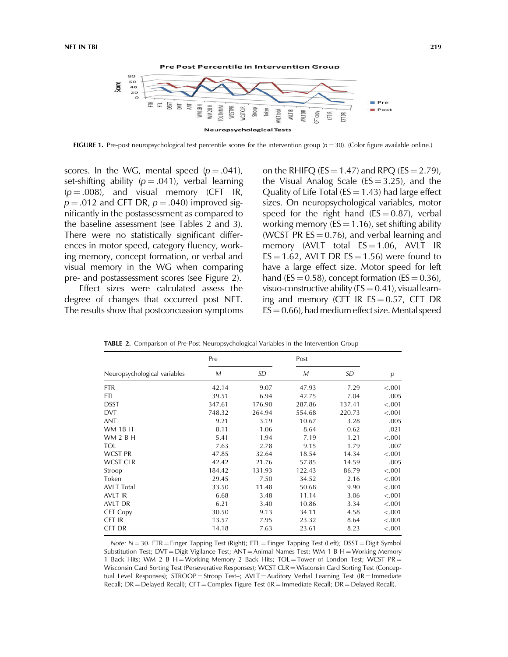

FIGURE 1. Pre-post neuropsychological test percentile scores for the intervention group ( $n = 30$ ). (Color figure available online.)

scores. In the WG, mental speed  $(p=.041)$ , set-shifting ability ( $p = .041$ ), verbal learning  $(p = .008)$ , and visual memory (CFT IR,  $p = .012$  and CFT DR,  $p = .040$  improved significantly in the postassessment as compared to the baseline assessment (see Tables 2 and 3). There were no statistically significant differences in motor speed, category fluency, working memory, concept formation, or verbal and visual memory in the WG when comparing pre- and postassessment scores (see Figure 2).

Effect sizes were calculated assess the degree of changes that occurred post NFT. The results show that postconcussion symptoms on the RHIFQ (ES = 1.47) and RPQ (ES = 2.79), the Visual Analog Scale ( $ES = 3.25$ ), and the Quality of Life Total ( $ES = 1.43$ ) had large effect sizes. On neuropsychological variables, motor speed for the right hand  $(ES = 0.87)$ , verbal working memory ( $ES = 1.16$ ), set shifting ability (WCST PR  $ES = 0.76$ ), and verbal learning and memory (AVLT total  $ES = 1.06$ , AVLT IR  $ES = 1.62$ , AVLT DR  $ES = 1.56$ ) were found to have a large effect size. Motor speed for left hand (ES = 0.58), concept formation (ES = 0.36), visuo-constructive ability ( $ES = 0.41$ ), visual learning and memory (CFT IR  $ES = 0.57$ , CFT DR  $ES = 0.66$ ), had medium effect size. Mental speed

|                              | Pre    |        | Post   |           |         |
|------------------------------|--------|--------|--------|-----------|---------|
| Neuropsychological variables | M      | SD     | M      | <i>SD</i> | p       |
| <b>FTR</b>                   | 42.14  | 9.07   | 47.93  | 7.29      | < .001  |
| <b>FTL</b>                   | 39.51  | 6.94   | 42.75  | 7.04      | .005    |
| <b>DSST</b>                  | 347.61 | 176.90 | 287.86 | 137.41    | < .001  |
| <b>DVT</b>                   | 748.32 | 264.94 | 554.68 | 220.73    | < 0.001 |
| <b>ANT</b>                   | 9.21   | 3.19   | 10.67  | 3.28      | .005    |
| <b>WM 1B H</b>               | 8.11   | 1.06   | 8.64   | 0.62      | .021    |
| <b>WM 2 B H</b>              | 5.41   | 1.94   | 7.19   | 1.21      | < 0.001 |
| <b>TOL</b>                   | 7.63   | 2.78   | 9.15   | 1.79      | .007    |
| <b>WCST PR</b>               | 47.85  | 32.64  | 18.54  | 14.34     | < 0.001 |
| <b>WCST CLR</b>              | 42.42  | 21.76  | 57.85  | 14.59     | .005    |
| Stroop                       | 184.42 | 131.93 | 122.43 | 86.79     | < .001  |
| Token                        | 29.45  | 7.50   | 34.52  | 2.16      | < .001  |
| <b>AVLT Total</b>            | 33.50  | 11.48  | 50.68  | 9.90      | < 0.001 |
| <b>AVLT IR</b>               | 6.68   | 3.48   | 11.14  | 3.06      | < 0.001 |
| <b>AVLT DR</b>               | 6.21   | 3.40   | 10.86  | 3.34      | < .001  |
| CFT Copy                     | 30.50  | 9.13   | 34.11  | 4.58      | < .001  |
| CFT IR                       | 13.57  | 7.95   | 23.32  | 8.64      | < .001  |
| CFT DR                       | 14.18  | 7.63   | 23.61  | 8.23      | < 0.001 |

TABLE 2. Comparison of Pre-Post Neuropsychological Variables in the Intervention Group

Note:  $N = 30$ . FTR = Finger Tapping Test (Right); FTL = Finger Tapping Test (Left); DSST = Digit Symbol Substitution Test; DVT = Digit Vigilance Test; ANT = Animal Names Test; WM 1 B H = Working Memory 1 Back Hits; WM 2 B H = Working Memory 2 Back Hits; TOL = Tower of London Test; WCST PR = Wisconsin Card Sorting Test (Perseverative Responses); WCST CLR = Wisconsin Card Sorting Test (Conceptual Level Responses);  $STROOP = Stroop Test-$ ;  $AVLT = Auditory Verbal Learning Test (IR = Immediate)$ Recall;  $DR =$  Delayed Recall);  $CFT =$  Complex Figure Test (IR = Immediate Recall;  $DR =$  Delayed Recall).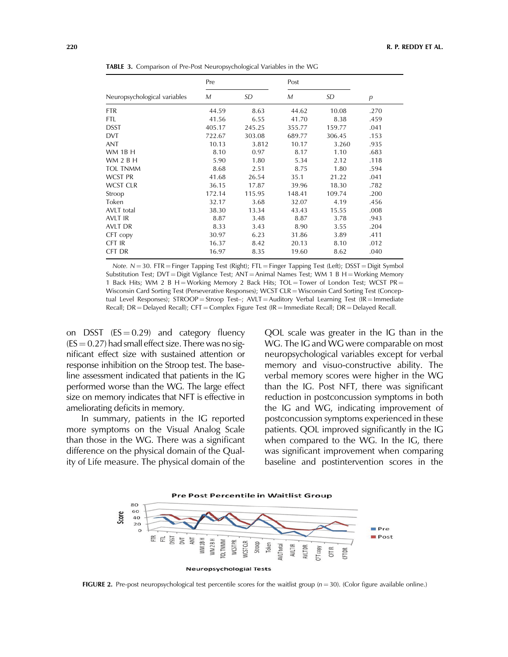|                              | Pre    |        | Post   |        |      |
|------------------------------|--------|--------|--------|--------|------|
| Neuropsychological variables | М      | SD     | M      | SD     | p    |
| <b>FTR</b>                   | 44.59  | 8.63   | 44.62  | 10.08  | .270 |
| <b>FTL</b>                   | 41.56  | 6.55   | 41.70  | 8.38   | .459 |
| <b>DSST</b>                  | 405.17 | 245.25 | 355.77 | 159.77 | .041 |
| <b>DVT</b>                   | 722.67 | 303.08 | 689.77 | 306.45 | .153 |
| <b>ANT</b>                   | 10.13  | 3.812  | 10.17  | 3.260  | .935 |
| <b>WM 1B H</b>               | 8.10   | 0.97   | 8.17   | 1.10   | .683 |
| <b>WM 2 B H</b>              | 5.90   | 1.80   | 5.34   | 2.12   | .118 |
| <b>TOL TNMM</b>              | 8.68   | 2.51   | 8.75   | 1.80   | .594 |
| <b>WCST PR</b>               | 41.68  | 26.54  | 35.1   | 21.22  | .041 |
| <b>WCST CLR</b>              | 36.15  | 17.87  | 39.96  | 18.30  | .782 |
| Stroop                       | 172.14 | 115.95 | 148.41 | 109.74 | .200 |
| Token                        | 32.17  | 3.68   | 32.07  | 4.19   | .456 |
| <b>AVLT</b> total            | 38.30  | 13.34  | 43.43  | 15.55  | .008 |
| <b>AVLT IR</b>               | 8.87   | 3.48   | 8.87   | 3.78   | .943 |
| <b>AVLT DR</b>               | 8.33   | 3.43   | 8.90   | 3.55   | .204 |
| CFT copy                     | 30.97  | 6.23   | 31.86  | 3.89   | .411 |
| CFT IR                       | 16.37  | 8.42   | 20.13  | 8.10   | .012 |
| CFT DR                       | 16.97  | 8.35   | 19.60  | 8.62   | .040 |

TABLE 3. Comparison of Pre-Post Neuropsychological Variables in the WG

Note.  $N = 30$ . FTR = Finger Tapping Test (Right); FTL = Finger Tapping Test (Left); DSST = Digit Symbol Substitution Test;  $DVT = Digit Vigilance Test; ANT = Animal Names Test; WM 1 B H = Working Memory$ 1 Back Hits; WM 2 B H = Working Memory 2 Back Hits; TOL = Tower of London Test; WCST PR = Wisconsin Card Sorting Test (Perseverative Responses); WCST CLR = Wisconsin Card Sorting Test (Conceptual Level Responses); STROOP = Stroop Test-; AVLT = Auditory Verbal Learning Test (IR = Immediate Recall;  $DR =$  Delayed Recall);  $CFT =$  Complex Figure Test (IR = Immediate Recall;  $DR =$  Delayed Recall.

on DSST  $(ES = 0.29)$  and category fluency  $(ES = 0.27)$  had small effect size. There was no significant effect size with sustained attention or response inhibition on the Stroop test. The baseline assessment indicated that patients in the IG performed worse than the WG. The large effect size on memory indicates that NFT is effective in ameliorating deficits in memory.

In summary, patients in the IG reported more symptoms on the Visual Analog Scale than those in the WG. There was a significant difference on the physical domain of the Quality of Life measure. The physical domain of the

QOL scale was greater in the IG than in the WG. The IG and WG were comparable on most neuropsychological variables except for verbal memory and visuo-constructive ability. The verbal memory scores were higher in the WG than the IG. Post NFT, there was significant reduction in postconcussion symptoms in both the IG and WG, indicating improvement of postconcussion symptoms experienced in these patients. QOL improved significantly in the IG when compared to the WG. In the IG, there was significant improvement when comparing baseline and postintervention scores in the



FIGURE 2. Pre-post neuropsychological test percentile scores for the waitlist group  $(n = 30)$ . (Color figure available online.)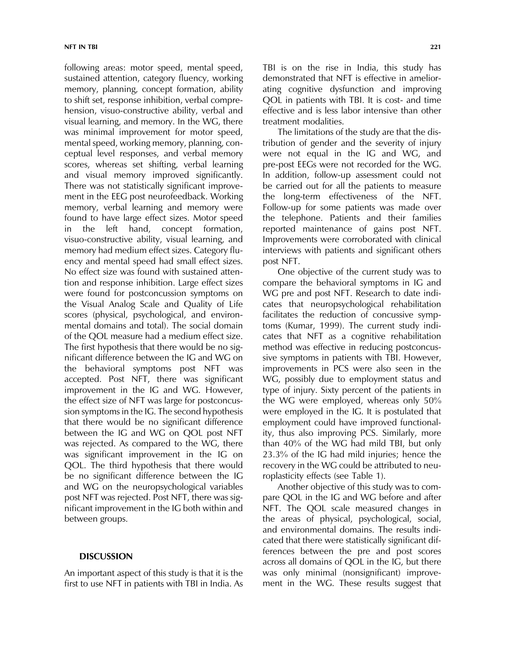following areas: motor speed, mental speed, sustained attention, category fluency, working memory, planning, concept formation, ability to shift set, response inhibition, verbal comprehension, visuo-constructive ability, verbal and visual learning, and memory. In the WG, there was minimal improvement for motor speed, mental speed, working memory, planning, conceptual level responses, and verbal memory scores, whereas set shifting, verbal learning and visual memory improved significantly. There was not statistically significant improvement in the EEG post neurofeedback. Working memory, verbal learning and memory were found to have large effect sizes. Motor speed in the left hand, concept formation, visuo-constructive ability, visual learning, and memory had medium effect sizes. Category fluency and mental speed had small effect sizes. No effect size was found with sustained attention and response inhibition. Large effect sizes were found for postconcussion symptoms on the Visual Analog Scale and Quality of Life scores (physical, psychological, and environmental domains and total). The social domain of the QOL measure had a medium effect size. The first hypothesis that there would be no significant difference between the IG and WG on the behavioral symptoms post NFT was accepted. Post NFT, there was significant improvement in the IG and WG. However, the effect size of NFT was large for postconcussion symptoms in the IG. The second hypothesis that there would be no significant difference between the IG and WG on QOL post NFT was rejected. As compared to the WG, there was significant improvement in the IG on QOL. The third hypothesis that there would be no significant difference between the IG and WG on the neuropsychological variables post NFT was rejected. Post NFT, there was significant improvement in the IG both within and between groups.

#### DISCUSSION

An important aspect of this study is that it is the first to use NFT in patients with TBI in India. As

TBI is on the rise in India, this study has demonstrated that NFT is effective in ameliorating cognitive dysfunction and improving QOL in patients with TBI. It is cost- and time effective and is less labor intensive than other treatment modalities.

The limitations of the study are that the distribution of gender and the severity of injury were not equal in the IG and WG, and pre-post EEGs were not recorded for the WG. In addition, follow-up assessment could not be carried out for all the patients to measure the long-term effectiveness of the NFT. Follow-up for some patients was made over the telephone. Patients and their families reported maintenance of gains post NFT. Improvements were corroborated with clinical interviews with patients and significant others post NFT.

One objective of the current study was to compare the behavioral symptoms in IG and WG pre and post NFT. Research to date indicates that neuropsychological rehabilitation facilitates the reduction of concussive symptoms (Kumar, 1999). The current study indicates that NFT as a cognitive rehabilitation method was effective in reducing postconcussive symptoms in patients with TBI. However, improvements in PCS were also seen in the WG, possibly due to employment status and type of injury. Sixty percent of the patients in the WG were employed, whereas only 50% were employed in the IG. It is postulated that employment could have improved functionality, thus also improving PCS. Similarly, more than 40% of the WG had mild TBI, but only 23.3% of the IG had mild injuries; hence the recovery in the WG could be attributed to neuroplasticity effects (see Table 1).

Another objective of this study was to compare QOL in the IG and WG before and after NFT. The QOL scale measured changes in the areas of physical, psychological, social, and environmental domains. The results indicated that there were statistically significant differences between the pre and post scores across all domains of QOL in the IG, but there was only minimal (nonsignificant) improvement in the WG. These results suggest that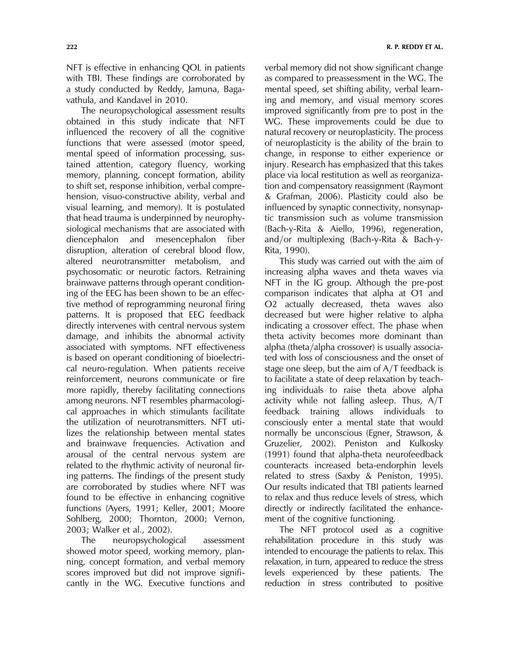NFT is effective in enhancing QOL in patients with TBI. These findings are corroborated by a study conducted by Reddy, Jamuna, Bagavathula, and Kandavel in 2010.

The neuropsychological assessment results obtained in this study indicate that NFT influenced the recovery of all the cognitive functions that were assessed (motor speed, mental speed of information processing, sustained attention, category fluency, working memory, planning, concept formation, ability to shift set, response inhibition, verbal comprehension, visuo-constructive ability, verbal and visual learning, and memory). It is postulated that head trauma is underpinned by neurophysiological mechanisms that are associated with diencephalon and mesencephalon fiber disruption, alteration of cerebral blood flow, altered neurotransmitter metabolism, and psychosomatic or neurotic factors. Retraining brainwave patterns through operant conditioning of the EEG has been shown to be an effective method of reprogramming neuronal firing patterns. It is proposed that EEG feedback directly intervenes with central nervous system damage, and inhibits the abnormal activity associated with symptoms. NFT effectiveness is based on operant conditioning of bioelectrical neuro-regulation. When patients receive reinforcement, neurons communicate or fire more rapidly, thereby facilitating connections among neurons. NFT resembles pharmacological approaches in which stimulants facilitate the utilization of neurotransmitters. NFT utilizes the relationship between mental states and brainwave frequencies. Activation and arousal of the central nervous system are related to the rhythmic activity of neuronal firing patterns. The findings of the present study are corroborated by studies where NFT was found to be effective in enhancing cognitive functions (Ayers, 1991; Keller, 2001; Moore Sohlberg, 2000; Thornton, 2000; Vernon, 2003; Walker et al., 2002).

The neuropsychological assessment showed motor speed, working memory, planning, concept formation, and verbal memory scores improved but did not improve significantly in the WG. Executive functions and verbal memory did not show significant change as compared to preassessment in the WG. The mental speed, set shifting ability, verbal learning and memory, and visual memory scores improved significantly from pre to post in the WG. These improvements could be due to natural recovery or neuroplasticity. The process of neuroplasticity is the ability of the brain to change, in response to either experience or injury. Research has emphasized that this takes place via local restitution as well as reorganization and compensatory reassignment (Raymont & Grafman, 2006). Plasticity could also be influenced by synaptic connectivity, nonsynaptic transmission such as volume transmission (Bach-y-Rita & Aiello, 1996), regeneration, and/or multiplexing (Bach-y-Rita & Bach-y-Rita, 1990).

This study was carried out with the aim of increasing alpha waves and theta waves via NFT in the IG group. Although the pre-post comparison indicates that alpha at O1 and O2 actually decreased, theta waves also decreased but were higher relative to alpha indicating a crossover effect. The phase when theta activity becomes more dominant than alpha (theta/alpha crossover) is usually associated with loss of consciousness and the onset of stage one sleep, but the aim of  $A/T$  feedback is to facilitate a state of deep relaxation by teaching individuals to raise theta above alpha activity while not falling asleep. Thus,  $A/T$ feedback training allows individuals to consciously enter a mental state that would normally be unconscious (Egner, Strawson, & Gruzelier, 2002). Peniston and Kulkosky (1991) found that alpha-theta neurofeedback counteracts increased beta-endorphin levels related to stress (Saxby & Peniston, 1995). Our results indicated that TBI patients learned to relax and thus reduce levels of stress, which directly or indirectly facilitated the enhancement of the cognitive functioning.

The NFT protocol used as a cognitive rehabilitation procedure in this study was intended to encourage the patients to relax. This relaxation, in turn, appeared to reduce the stress levels experienced by these patients. The reduction in stress contributed to positive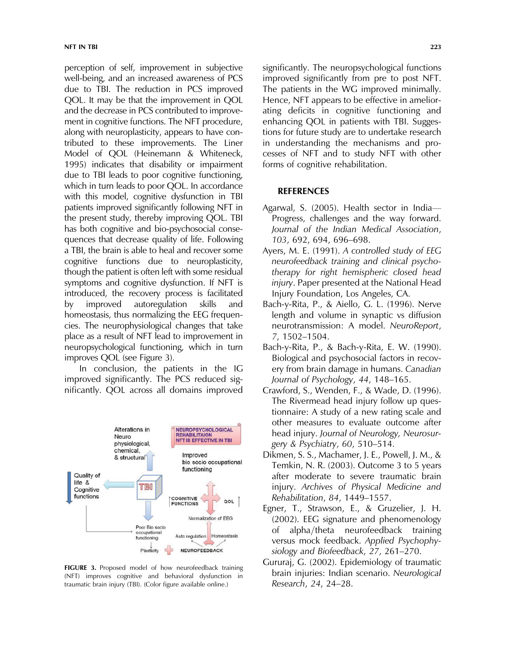perception of self, improvement in subjective well-being, and an increased awareness of PCS due to TBI. The reduction in PCS improved QOL. It may be that the improvement in QOL and the decrease in PCS contributed to improvement in cognitive functions. The NFT procedure, along with neuroplasticity, appears to have contributed to these improvements. The Liner Model of QOL (Heinemann & Whiteneck, 1995) indicates that disability or impairment due to TBI leads to poor cognitive functioning, which in turn leads to poor QOL. In accordance with this model, cognitive dysfunction in TBI patients improved significantly following NFT in the present study, thereby improving QOL. TBI has both cognitive and bio-psychosocial consequences that decrease quality of life. Following a TBI, the brain is able to heal and recover some cognitive functions due to neuroplasticity, though the patient is often left with some residual symptoms and cognitive dysfunction. If NFT is introduced, the recovery process is facilitated by improved autoregulation skills and homeostasis, thus normalizing the EEG frequencies. The neurophysiological changes that take place as a result of NFT lead to improvement in neuropsychological functioning, which in turn improves QOL (see Figure 3).

In conclusion, the patients in the IG improved significantly. The PCS reduced significantly. QOL across all domains improved



FIGURE 3. Proposed model of how neurofeedback training (NFT) improves cognitive and behavioral dysfunction in traumatic brain injury (TBI). (Color figure available online.)

significantly. The neuropsychological functions improved significantly from pre to post NFT. The patients in the WG improved minimally. Hence, NFT appears to be effective in ameliorating deficits in cognitive functioning and enhancing QOL in patients with TBI. Suggestions for future study are to undertake research in understanding the mechanisms and processes of NFT and to study NFT with other forms of cognitive rehabilitation.

# **REFERENCES**

- Agarwal, S. (2005). Health sector in India— Progress, challenges and the way forward. Journal of the Indian Medical Association, 103, 692, 694, 696–698.
- Ayers, M. E. (1991). A controlled study of EEG neurofeedback training and clinical psychotherapy for right hemispheric closed head injury. Paper presented at the National Head Injury Foundation, Los Angeles, CA.
- Bach-y-Rita, P., & Aiello, G. L. (1996). Nerve length and volume in synaptic vs diffusion neurotransmission: A model. NeuroReport, 7, 1502–1504.
- Bach-y-Rita, P., & Bach-y-Rita, E. W. (1990). Biological and psychosocial factors in recovery from brain damage in humans. Canadian Journal of Psychology, 44, 148–165.
- Crawford, S., Wenden, F., & Wade, D. (1996). The Rivermead head injury follow up questionnaire: A study of a new rating scale and other measures to evaluate outcome after head injury. Journal of Neurology, Neurosurgery & Psychiatry, 60, 510–514.
- Dikmen, S. S., Machamer, J. E., Powell, J. M., & Temkin, N. R. (2003). Outcome 3 to 5 years after moderate to severe traumatic brain injury. Archives of Physical Medicine and Rehabilitation, 84, 1449–1557.
- Egner, T., Strawson, E., & Gruzelier, J. H. (2002). EEG signature and phenomenology of alpha/theta neurofeedback training versus mock feedback. Applied Psychophysiology and Biofeedback, 27, 261–270.
- Gururaj, G. (2002). Epidemiology of traumatic brain injuries: Indian scenario. Neurological Research, 24, 24–28.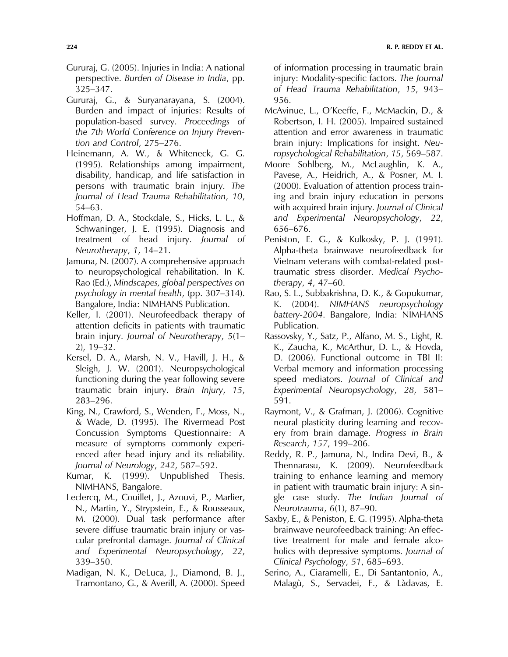- Gururaj, G. (2005). Injuries in India: A national perspective. Burden of Disease in India, pp. 325–347.
- Gururaj, G., & Suryanarayana, S. (2004). Burden and impact of injuries: Results of population-based survey. Proceedings of the 7th World Conference on Injury Prevention and Control, 275–276.
- Heinemann, A. W., & Whiteneck, G. G. (1995). Relationships among impairment, disability, handicap, and life satisfaction in persons with traumatic brain injury. The Journal of Head Trauma Rehabilitation, 10, 54–63.
- Hoffman, D. A., Stockdale, S., Hicks, L. L., & Schwaninger, J. E. (1995). Diagnosis and treatment of head injury. Journal of Neurotherapy, 1, 14–21.
- Jamuna, N. (2007). A comprehensive approach to neuropsychological rehabilitation. In K. Rao (Ed.), Mindscapes, global perspectives on psychology in mental health, (pp. 307–314). Bangalore, India: NIMHANS Publication.
- Keller, I. (2001). Neurofeedback therapy of attention deficits in patients with traumatic brain injury. Journal of Neurotherapy, 5(1– 2), 19–32.
- Kersel, D. A., Marsh, N. V., Havill, J. H., & Sleigh, J. W. (2001). Neuropsychological functioning during the year following severe traumatic brain injury. Brain Injury, 15, 283–296.
- King, N., Crawford, S., Wenden, F., Moss, N., & Wade, D. (1995). The Rivermead Post Concussion Symptoms Questionnaire: A measure of symptoms commonly experienced after head injury and its reliability. Journal of Neurology, 242, 587–592.
- Kumar, K. (1999). Unpublished Thesis. NIMHANS, Bangalore.
- Leclercq, M., Couillet, J., Azouvi, P., Marlier, N., Martin, Y., Strypstein, E., & Rousseaux, M. (2000). Dual task performance after severe diffuse traumatic brain injury or vascular prefrontal damage. Journal of Clinical and Experimental Neuropsychology, 22, 339–350.
- Madigan, N. K., DeLuca, J., Diamond, B. J., Tramontano, G., & Averill, A. (2000). Speed

of information processing in traumatic brain injury: Modality-specific factors. The Journal of Head Trauma Rehabilitation, 15, 943– 956.

- McAvinue, L., O'Keeffe, F., McMackin, D., & Robertson, I. H. (2005). Impaired sustained attention and error awareness in traumatic brain injury: Implications for insight. Neuropsychological Rehabilitation, 15, 569–587.
- Moore Sohlberg, M., McLaughlin, K. A., Pavese, A., Heidrich, A., & Posner, M. I. (2000). Evaluation of attention process training and brain injury education in persons with acquired brain injury. Journal of Clinical and Experimental Neuropsychology, 22, 656–676.
- Peniston, E. G., & Kulkosky, P. J. (1991). Alpha-theta brainwave neurofeedback for Vietnam veterans with combat-related posttraumatic stress disorder. Medical Psychotherapy, 4, 47–60.
- Rao, S. L., Subbakrishna, D. K., & Gopukumar, K. (2004). NIMHANS neuropsychology battery-2004. Bangalore, India: NIMHANS Publication.
- Rassovsky, Y., Satz, P., Alfano, M. S., Light, R. K., Zaucha, K., McArthur, D. L., & Hovda, D. (2006). Functional outcome in TBI II: Verbal memory and information processing speed mediators. Journal of Clinical and Experimental Neuropsychology, 28, 581– 591.
- Raymont, V., & Grafman, J. (2006). Cognitive neural plasticity during learning and recovery from brain damage. Progress in Brain Research, 157, 199–206.
- Reddy, R. P., Jamuna, N., Indira Devi, B., & Thennarasu, K. (2009). Neurofeedback training to enhance learning and memory in patient with traumatic brain injury: A single case study. The Indian Journal of Neurotrauma, 6(1), 87–90.
- Saxby, E., & Peniston, E. G. (1995). Alpha-theta brainwave neurofeedback training: An effective treatment for male and female alcoholics with depressive symptoms. Journal of Clinical Psychology, 51, 685–693.
- Serino, A., Ciaramelli, E., Di Santantonio, A., Malagù, S., Servadei, F., & Làdavas, E.